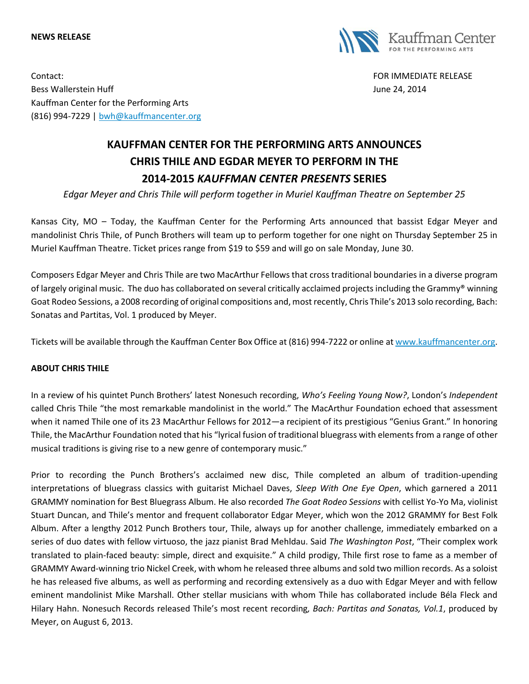#### **NEWS RELEASE**



Contact: FOR IMMEDIATE RELEASE Bess Wallerstein Huff **State Australian Executive Controllers** and the United States of the United States of the United States and the United States of the United States and the United States and the United States and the Kauffman Center for the Performing Arts (816) 994-7229 | [bwh@kauffmancenter.org](mailto:bwh@kauffmancenter.org)

# **KAUFFMAN CENTER FOR THE PERFORMING ARTS ANNOUNCES CHRIS THILE AND EGDAR MEYER TO PERFORM IN THE 2014-2015** *KAUFFMAN CENTER PRESENTS* **SERIES**

*Edgar Meyer and Chris Thile will perform together in Muriel Kauffman Theatre on September 25*

Kansas City, MO – Today, the Kauffman Center for the Performing Arts announced that bassist Edgar Meyer and mandolinist Chris Thile, of Punch Brothers will team up to perform together for one night on Thursday September 25 in Muriel Kauffman Theatre. Ticket prices range from \$19 to \$59 and will go on sale Monday, June 30.

Composers Edgar Meyer and Chris Thile are two MacArthur Fellows that cross traditional boundaries in a diverse program of largely original music. The duo has collaborated on several critically acclaimed projects including the Grammy® winning Goat Rodeo Sessions, a 2008 recording of original compositions and, most recently, Chris Thile's 2013 solo recording, Bach: Sonatas and Partitas, Vol. 1 produced by Meyer.

Tickets will be available through the Kauffman Center Box Office at (816) 994-7222 or online at [www.kauffmancenter.org.](http://www.kauffmancenter.org/)

### **ABOUT CHRIS THILE**

In a review of his quintet Punch Brothers' latest Nonesuch recording, *Who's Feeling Young Now?*, London's *Independent* called Chris Thile "the most remarkable mandolinist in the world." The MacArthur Foundation echoed that assessment when it named Thile one of its 23 MacArthur Fellows for 2012—a recipient of its prestigious "Genius Grant." In honoring Thile, the MacArthur Foundation noted that his "lyrical fusion of traditional bluegrass with elements from a range of other musical traditions is giving rise to a new genre of contemporary music."

Prior to recording the Punch Brothers's acclaimed new disc, Thile completed an album of tradition-upending interpretations of bluegrass classics with guitarist Michael Daves, *Sleep With One Eye Open*, which garnered a 2011 GRAMMY nomination for Best Bluegrass Album. He also recorded *The Goat Rodeo Sessions* with cellist Yo-Yo Ma, violinist Stuart Duncan, and Thile's mentor and frequent collaborator Edgar Meyer, which won the 2012 GRAMMY for Best Folk Album. After a lengthy 2012 Punch Brothers tour, Thile, always up for another challenge, immediately embarked on a series of duo dates with fellow virtuoso, the jazz pianist Brad Mehldau. Said *The Washington Post*, "Their complex work translated to plain-faced beauty: simple, direct and exquisite." A child prodigy, Thile first rose to fame as a member of GRAMMY Award-winning trio Nickel Creek, with whom he released three albums and sold two million records. As a soloist he has released five albums, as well as performing and recording extensively as a duo with Edgar Meyer and with fellow eminent mandolinist Mike Marshall. Other stellar musicians with whom Thile has collaborated include Béla Fleck and Hilary Hahn. Nonesuch Records released Thile's most recent recording*, Bach: Partitas and Sonatas, Vol.1*, produced by Meyer, on August 6, 2013.